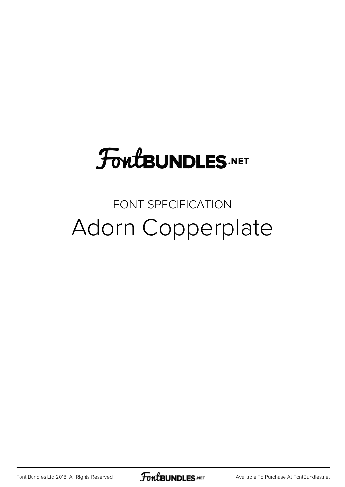# **FoutBUNDLES.NET**

#### FONT SPECIFICATION Adorn Copperplate

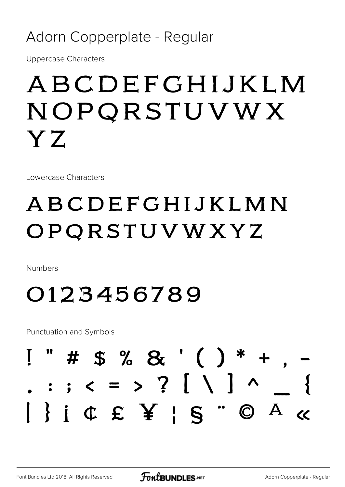#### Adorn Copperplate - Regular

**Uppercase Characters** 

### ABCDEFGHIJKLM NOPQRSTUVWX YZ

Lowercase Characters

### ABCDEFGHIJKLMN OPQRSTUVWXYZ

**Numbers** 

#### 0123456789

**Punctuation and Symbols** 

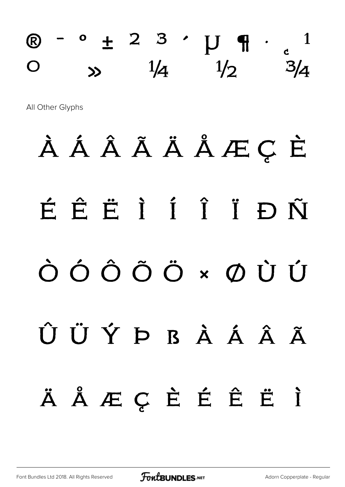### $\textcircled{R}$  -  $\circ$   $\pm$  2 3  $\cdot$   $\textup{U}$   $\textup{H}$   $\cdot$   $\textup{C}$ <sup>1</sup>  $\circ$   $\frac{1}{4}$   $\frac{1}{2}$

All Other Glyphs

# À Á Â Ã Ä Å Æ Ç È É Ê Ë Ì Í Î Ï Ð Ñ Ò Ó Ô Õ Ö × Ø Ù Ú Û Ü Ý Þ ß à á â ã ä å æ ç è é ê ë ì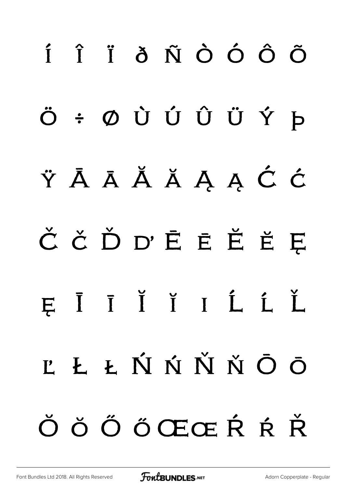# í î ï ð ñ ò ó ô õ ö ÷ ø ù ú û ü ý þ ÿ Ā ā Ă ă Ą ą Ć ć Č č Ď ď Ē ē Ĕ ĕ Ę ę Ī ī Ĭ ĭ ı Ĺ ĺ Ľ ľ Ł ł Ń ń Ň ň Ō ō Ŏ ŏ Ő ő Œœ Ŕ ŕ Ř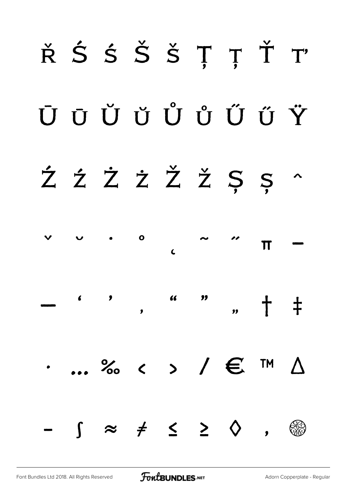# ŘŚŚŠŠȚȚŤT ŪŪŬŮŮŮŰŬŸ ŹŹŻŻŽŽŠS^  $\mathbf{o}$  $\checkmark$  $\pi$  $\mathbf{C}$  $\overline{\phantom{a}}$  $\frac{1}{2}$ + +  $\overline{\mathbf{v}}$  $\ldots$  % < > /  $\epsilon$  ™  $\Delta$  $\left\{ \begin{array}{cccc} \approx & \neq & \leq & \geq & \diamondsuit \end{array} \right.$ **CAO**